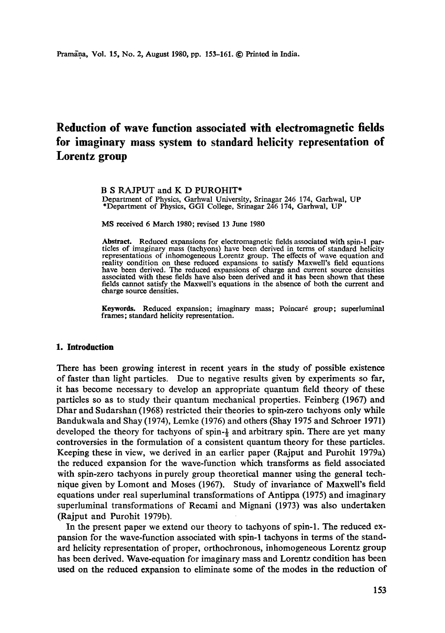# **Reduction of wave function associated with electromagnetic fields for imaginary mass system to standard helicity representation of Lorentz group**

#### B S RAJPUT and K D PUROHIT\*

Department of Physics, Garhwal University, Srinagar 246 174, Garhwal, UP \*Department of Physics, GGI College, Srinagar 246 174, Garhwal, UP

MS received 6 March 1980; revised 13 June 1980

**Abstract.** Reduced expansions for electromagnetic fields associated with spin-1 particles of imaginary mass (tachyons) have been derived in terms of standard helicity<br>representations of inhomogeneous Lorentz group. The effects of wave equation and<br>reality condition on these reduced expansions to satisfy fields cannot satisfy the Maxwell's equations in the absence of both the current and charge source densities.

**Keywords.** Reduced expansion; imaginary mass; Poincaré group; superluminal frames; standard helicity representation.

### **1. Introduction**

There has been growing interest in recent years in the study of possible existence of faster than light particles. Due to negative results given by experiments so far, it has become necessary to develop an appropriate quantum field theory of these particles so as to study their quantum mechanical properties. Feinberg (1967) and Dhar and Sudarshan (1968) restricted their theories to spin-zero tachyons only while Bandukwala and Shay (1974), Lemke (1976) and others (Shay 1975 and Schroer 1971) developed the theory for tachyons of spin-} and arbitrary spin. There are yet many controversies in the formulation of a consistent quantum theory for these particles. Keeping these in view, we derived in an earlier paper (Rajput and Purohit 1979a) the reduced expansion for the wave-function which transforms as field associated with spin-zero tachyons in purely group theoretical manner using the general technique given by Lomont and Moses (1967). Study of invariance of Maxwell's field equations under real superluminal transformations of Antippa (1975) and imaginary superluminal transformations of Recami and Mignani (1973) was also undertaken (Rajput and Purohit 1979b).

In the present paper we extend our theory to tachyons of spin-1. The reduced expansion for the wave-function associated with spin-1 tachyons in terms of the standard helicity representation of proper, orthochronous, inhomogeneous Lorentz group has been derived. Wave-equation for imaginary mass and Lorentz condition has been used on the reduced expansion to eliminate some of the modes in the reduction of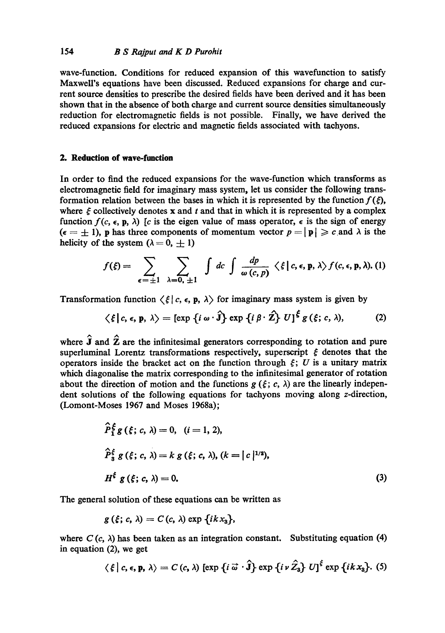wave-function. Conditions for reduced expansion of this wavefunction to satisfy Maxwell's equations have been discussed. Reduced expansions for charge and current source densities to prescribe the desired fields have been derived and it has been shown that in the absence of both charge and current source densities simultaneously reduction for electromagnetic fields is not possible. Finally, we have derived the reduced expansions for electric and magnetic fields associated with tachyons.

## **2. Reduction of wave-function**

In order to find the reduced expansions for the wave-function which transforms as electromagnetic field for imaginary mass system, let us consider the following transformation relation between the bases in which it is represented by the function  $f(\xi)$ , where  $\xi$  collectively denotes x and t and that in which it is represented by a complex function  $f(c, \epsilon, \mathbf{p}, \lambda)$  [c is the eigen value of mass operator,  $\epsilon$  is the sign of energy  $(\epsilon = \pm 1)$ , p has three components of momentum vector  $p = |p| \geqslant c$  and  $\lambda$  is the helicity of the system  $(\lambda = 0, \pm 1)$ 

$$
f(\xi) = \sum_{\epsilon = \pm 1} \sum_{\lambda = 0, \pm 1} \int dc \int \frac{dp}{\omega(c, p)} \langle \xi | c, \epsilon, p, \lambda \rangle f(c, \epsilon, p, \lambda). (1)
$$

Transformation function  $\langle \xi | c, \epsilon, \mathbf{p}, \lambda \rangle$  for imaginary mass system is given by

$$
\langle \xi | c, \epsilon, \mathbf{p}, \lambda \rangle = [\exp \{ i \omega \cdot \hat{\mathbf{j}} \} \exp \{ i \beta \cdot \hat{\mathbf{Z}} \} U]^{\xi} g(\xi; c, \lambda), \tag{2}
$$

where  $\hat{\mathbf{J}}$  and  $\hat{\mathbf{Z}}$  are the infinitesimal generators corresponding to rotation and pure superluminal Lorentz transformations respectively, superscript  $\xi$  denotes that the operators inside the bracket act on the function through  $\xi$ ; U is a unitary matrix which diagonalise the matrix corresponding to the infinitesimal generator of rotation about the direction of motion and the functions  $g(\xi; c, \lambda)$  are the linearly independent solutions of the following equations for tachyons moving along z-direction, (Lomont-Moses 1967 and Moses 1968a);

$$
\hat{P}_{1}^{\xi} g(\xi; c, \lambda) = 0, \quad (i = 1, 2),
$$
\n
$$
\hat{P}_{3}^{\xi} g(\xi; c, \lambda) = k g(\xi; c, \lambda), (k = |c|^{1/2}),
$$
\n
$$
H^{\xi} g(\xi; c, \lambda) = 0.
$$
\n(3)

The general solution of these equations can be written as

$$
g(\xi; c, \lambda) = C(c, \lambda) \exp {ikx_3},
$$

where  $C(c, \lambda)$  has been taken as an integration constant. Substituting equation (4) in equation (2), we get

$$
\langle \xi | c, \epsilon, \mathbf{p}, \lambda \rangle = C(c, \lambda) \left[ \exp \left\{ i \vec{\omega} \cdot \hat{\mathbf{j}} \right\} \exp \left\{ i \nu \hat{Z}_3 \right\} U \right]^{\xi} \exp \left\{ i k x_3 \right\}.
$$
 (5)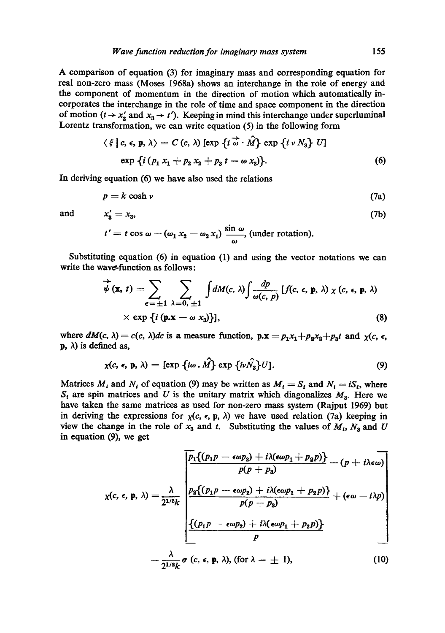A comparison of equation (3) for imaginary mass and corresponding equation for real non-zero mass (Moses I968a) shows an interchange in the role of energy and the component of momentum in the direction of motion which automatically incorporates the interchange in the role of time and space component in the direction of motion  $(t \rightarrow x'_3$  and  $x_3 \rightarrow t'$ ). Keeping in mind this interchange under superluminal Lorentz transformation, we can write equation (5) in the following form

$$
\langle \xi | c, \epsilon, p, \lambda \rangle = C(c, \lambda) [\exp \{i \overline{\omega} \cdot \hat{M}\} \exp \{i \nu N_3\} U]
$$
  
exp {*i (p<sub>1</sub> x<sub>1</sub> + p<sub>2</sub> x<sub>2</sub> + p<sub>3</sub> t - \omega x<sub>3</sub>)}. (6)*

In deriving equation (6) we have also used the relations

$$
p = k \cosh \nu \tag{7a}
$$

and  $x'_3 = x_3$ , (7b)

$$
t'=t\cos\omega-(\omega_1\,x_2-\omega_2\,x_1)\,\frac{\sin\,\omega}{\omega},\,\text{(under rotation)}.
$$

Substituting equation (6) in equation (1) and using the vector notations we can write the wave-function as follows:

$$
\overrightarrow{\psi}(\mathbf{x}, t) = \sum_{\epsilon = \pm 1} \sum_{\lambda = 0, \pm 1} \int dM(c, \lambda) \int \frac{dp}{\omega(c, p)} [f(c, \epsilon, \mathbf{p}, \lambda) \chi(c, \epsilon, \mathbf{p}, \lambda) \times (c, \epsilon, \mathbf{p}, \lambda)
$$
  
× exp {*i* ( $\mathbf{p} \cdot \mathbf{x} - \omega x_3$ )}. (8)

where  $dM(c, \lambda) = c(c, \lambda)dc$  is a measure function,  $p.x = p_1x_1 + p_2x_2 + p_3t$  and  $\chi(c, \epsilon, \lambda)$  $\bf{p}$ ,  $\lambda$ ) is defined as,

$$
\chi(c, \epsilon, \mathbf{p}, \lambda) = [\exp \{i\omega \cdot \hat{M}\} \exp \{i\nu \hat{N}_3\} U]. \tag{9}
$$

Matrices  $M_i$  and  $N_i$  of equation (9) may be written as  $M_i = S_i$  and  $N_i = iS_i$ , where  $S_t$  are spin matrices and U is the unitary matrix which diagonalizes  $M_3$ . Here we have taken the same matrices as used for non-zero mass system (Rajput 1969) but in deriving the expressions for  $\chi(c, \epsilon, p, \lambda)$  we have used relation (7a) keeping in view the change in the role of  $x_3$  and t. Substituting the values of  $M_t$ ,  $N_3$  and U in equation (9), we get

$$
\chi(c, \epsilon, p, \lambda) = \frac{\lambda}{2^{1/2}k} \frac{p_1\{(p_1p - \epsilon \omega p_2) + i\lambda(\epsilon \omega p_1 + p_2p)\} - (p + i\lambda \epsilon \omega)}{p(p + p_3)} + (\epsilon \omega - i\lambda p) + (\epsilon \omega - i\lambda p) + (\epsilon \omega p_1 + p_2p) + (\epsilon \omega - i\lambda p) + (\epsilon \omega p_1 + p_2p) + (\epsilon \omega p_1 + p_2p) + (\epsilon \omega p_1 + p_2p) + (\epsilon \omega p_1 + p_2p) + (\epsilon \omega p_1 + p_2p) + (\epsilon \omega p_1 + p_2p) + (\epsilon \omega p_1 + p_2p) + (\epsilon \omega p_1 + p_2p) + (\epsilon \omega p_1 + p_2p) + (\epsilon \omega p_1 + p_2p) + (\epsilon \omega p_1 + p_2p) + (\epsilon \omega p_1 + p_2p) + (\epsilon \omega p_1 + p_2p) + (\epsilon \omega p_1 + p_2p) + (\epsilon \omega p_1 + p_2p) + (\epsilon \omega p_1 + p_2p) + (\epsilon \omega p_1 + p_2p) + (\epsilon \omega p_1 + p_2p) + (\epsilon \omega p_1 + p_2p) + (\epsilon \omega p_1 + p_2p) + (\epsilon \omega p_1 + p_2p) + (\epsilon \omega p_1 + p_2p) + (\epsilon \omega p_1 + p_2p) + (\epsilon \omega p_1 + p_2p) + (\epsilon \omega p_1 + p_2p) + (\epsilon \omega p_1 + p_2p) + (\epsilon \omega p_1 + p_2p) + (\epsilon \omega p_1 + p_2p) + (\epsilon \omega p_1 + p_2p) + (\epsilon \omega p_1 + p_2p) + (\epsilon \omega p_1 + p_2p) + (\epsilon \omega p_1 + p_2p) + (\epsilon \omega p_1 + p_2p) + (\epsilon \omega p_1 + p_2p) + (\epsilon \omega p_1 + p_2p) + (\epsilon \omega p_1 + p_2p) + (\epsilon \omega p_1 + p_2p) + (\epsilon \omega p_1 + p_2p) + (\epsilon \omega p_1 + p_2p) + (\epsilon \omega p_1 + p_2p) + (\epsilon \omega p_1 + p_2p) + (\epsilon \omega p_1 + p_2p) + (\epsilon \omega p_1 + p_2p) + (\epsilon \omega p_1 + p_2p) + (\epsilon \omega p_1 + p_2
$$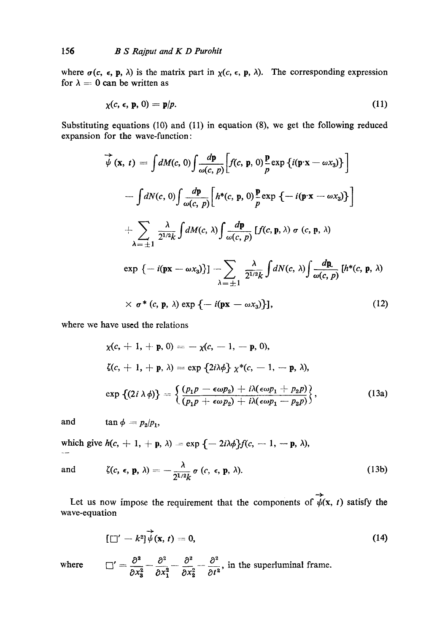where  $\sigma(c, \epsilon, p, \lambda)$  is the matrix part in  $\chi(c, \epsilon, p, \lambda)$ . The corresponding expression for  $\lambda = 0$  can be written as

$$
\chi(c, \epsilon, \mathbf{p}, 0) = \mathbf{p}/p. \tag{11}
$$

Substituting equations (10) and (11) in equation (8), we get the following reduced expansion for the wave-function:

$$
\overrightarrow{\psi}(\mathbf{x}, t) = \int dM(c, 0) \int \frac{d\mathbf{p}}{\omega(c, p)} \Big[ f(c, \mathbf{p}, 0) \frac{\mathbf{p}}{p} \exp \{i(\mathbf{p} \cdot \mathbf{x} - \omega x_3) \} \Big]
$$
  
 
$$
- \int dN(c, 0) \int \frac{d\mathbf{p}}{\omega(c, p)} \Big[ h^*(c, \mathbf{p}, 0) \frac{\mathbf{p}}{p} \exp \{-i(\mathbf{p} \cdot \mathbf{x} - \omega x_3) \} \Big]
$$
  
 
$$
+ \sum_{\lambda = \pm 1} \frac{\lambda}{2^{1/2}k} \int dM(c, \lambda) \int \frac{d\mathbf{p}}{\omega(c, p)} \left[ f(c, \mathbf{p}, \lambda) \sigma(c, \mathbf{p}, \lambda) \right]
$$
  
 
$$
\exp \{-i(\mathbf{p} \mathbf{x} - \omega x_3) \} ] - \sum_{\lambda = \pm 1} \frac{\lambda}{2^{1/2}k} \int dN(c, \lambda) \int \frac{d\mathbf{p}}{\omega(c, p)} \left[ h^*(c, \mathbf{p}, \lambda) \right]
$$
  
 
$$
\times \sigma^*(c, \mathbf{p}, \lambda) \exp \{-i(\mathbf{p} \mathbf{x} - \omega x_3) \} ],
$$
 (12)

where we have used the relations

$$
\chi(c, +1, +\mathbf{p}, 0) = -\chi(c, -1, -\mathbf{p}, 0),
$$
  
\n
$$
\zeta(c, +1, +\mathbf{p}, \lambda) = \exp \{2i\lambda \phi\} \chi^*(c, -1, -\mathbf{p}, \lambda),
$$
  
\n
$$
\exp \{ (2i \lambda \phi) \} = \left\{ \frac{(p_1 p - \epsilon \omega p_2) + i\lambda(\epsilon \omega p_1 + p_2 p)}{(p_1 p + \epsilon \omega p_2) + i\lambda(\epsilon \omega p_1 - p_2 p)} \right\},
$$
\n(13a)

and  $\tan \phi = p_2/p_1$ ,

which give  $h(c, +1, +p, \lambda) = \exp\{-2i\lambda\phi\}f(c, -1, -p, \lambda),$  $\sim$ 

and 
$$
\zeta(c, \epsilon, \mathbf{p}, \lambda) = -\frac{\lambda}{2^{1/2}k} \sigma(c, \epsilon, \mathbf{p}, \lambda).
$$
 (13b)

Let us now impose the requirement that the components of  $\overrightarrow{\psi}(x, t)$  satisfy the wave-equation

$$
[\Box' - k^2] \overrightarrow{\psi}(\mathbf{x}, t) = 0, \qquad (14)
$$

where  $\Box'$ 

$$
I' = \frac{\partial^2}{\partial x_3^2} - \frac{\partial^2}{\partial x_1^2} - \frac{\partial^2}{\partial x_2^2} - \frac{\partial^2}{\partial t^2}
$$
, in the superluminal frame.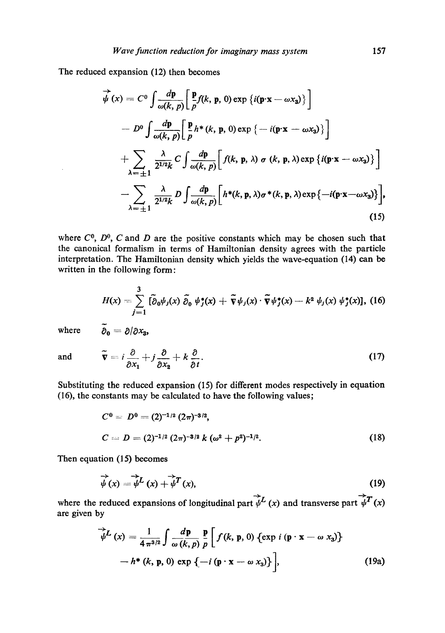The reduced expansion (12) then becomes

$$
\overrightarrow{\psi}(x) = C^0 \int \frac{d\mathbf{p}}{\omega(k, p)} \Big[ \frac{\mathbf{p}}{p} f(k, \mathbf{p}, 0) \exp \{i(\mathbf{p} \cdot \mathbf{x} - \omega x_3)\} \Big]
$$
  
\n
$$
- D^0 \int \frac{d\mathbf{p}}{\omega(k, p)} \Big[ \frac{\mathbf{p}}{p} h^*(k, \mathbf{p}, 0) \exp \{-i(\mathbf{p} \cdot \mathbf{x} - \omega x_3)\} \Big]
$$
  
\n
$$
+ \sum_{\lambda = \pm 1} \frac{\lambda}{2^{1/2} k} C \int \frac{d\mathbf{p}}{\omega(k, p)} \Big[ f(k, \mathbf{p}, \lambda) \sigma (k, \mathbf{p}, \lambda) \exp \{i(\mathbf{p} \cdot \mathbf{x} - \omega x_3)\} \Big]
$$
  
\n
$$
- \sum_{\lambda = \pm 1} \frac{\lambda}{2^{1/2} k} D \int \frac{d\mathbf{p}}{\omega(k, p)} \Big[ h^*(k, \mathbf{p}, \lambda) \sigma^*(k, \mathbf{p}, \lambda) \exp \{-i(\mathbf{p} \cdot \mathbf{x} - \omega x_3)\} \Big],
$$
  
\n(15)

where  $C^0$ ,  $D^0$ , C and D are the positive constants which may be chosen such that the canonical formalism in terms of Hamiltonian density agrees with the particle interpretation. The Hamiltonian density which yields the wave-equation (14) can be written in the following form:

$$
H(x) = \sum_{j=1}^3 \left[ \tilde{\partial}_0 \psi_j(x) \tilde{\partial}_0 \psi_j^*(x) + \tilde{\nabla} \psi_j(x) \cdot \tilde{\nabla} \psi_j^*(x) - k^2 \psi_j(x) \psi_j^*(x) \right], \ (16)
$$

where  $\tilde{\partial}_0 = \partial/\partial x_3$ ,

and 
$$
\widetilde{\mathbf{v}} = i \frac{\partial}{\partial x_1} + j \frac{\partial}{\partial x_2} + k \frac{\partial}{\partial t}.
$$
 (17)

Substituting the reduced expansion (15) for different modes respectively in equation (16), the constants may be calculated to have the following values;

$$
C0 = D0 = (2)-1/2 (2\pi)-3/2,
$$
  
\n
$$
C = D = (2)-1/2 (2\pi)-3/2 k (\omega2 + p2)-1/2.
$$
\n(18)

Then equation (15) becomes

$$
\vec{\psi}(x) = \vec{\psi}^L(x) + \vec{\psi}^T(x),\tag{19}
$$

where the reduced expansions of longitudinal part  $\overrightarrow{\psi}^L(x)$  and transverse part  $\overrightarrow{\psi}^T(x)$ are given by

$$
\overrightarrow{\psi}^{L}(x) = \frac{1}{4 \pi^{3/2}} \int \frac{d\mathbf{p}}{\omega(k, p)} \frac{\mathbf{p}}{p} \left[ f(k, \mathbf{p}, 0) \left\{ \exp i \left( \mathbf{p} \cdot \mathbf{x} - \omega x_{3} \right) \right\} - h^{*}(k, \mathbf{p}, 0) \exp \left\{ -i \left( \mathbf{p} \cdot \mathbf{x} - \omega x_{3} \right) \right\} \right], \tag{19a}
$$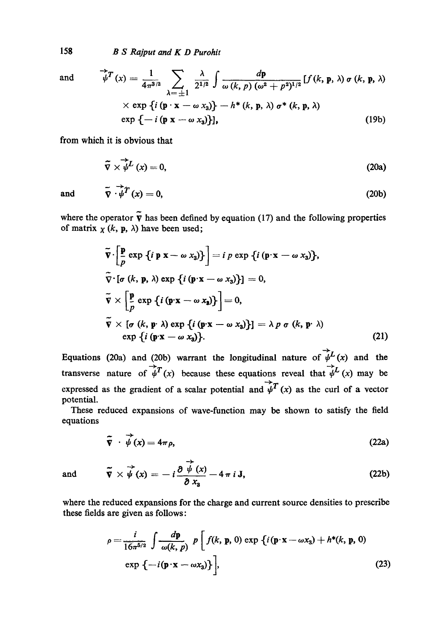158 *B S Rajput and K D Purohit* 

and 
$$
\overrightarrow{\psi}^T(x) = \frac{1}{4\pi^{3/2}} \sum_{\lambda = \pm 1} \frac{\lambda}{2^{1/2}} \int \frac{d\mathbf{p}}{\omega(k, p) (\omega^2 + p^2)^{1/2}} [f(k, \mathbf{p}, \lambda) \sigma(k, \mathbf{p}, \lambda)
$$

$$
\times \exp \{i (\mathbf{p} \cdot \mathbf{x} - \omega x_3) \} - h^*(k, \mathbf{p}, \lambda) \sigma^*(k, \mathbf{p}, \lambda)
$$

$$
\exp \{-i (\mathbf{p} \times -\omega x_3) \}], \qquad (19b)
$$

from which it is obvious that

$$
\tilde{\nabla} \times \tilde{\psi}^L(x) = 0, \tag{20a}
$$

and 
$$
\tilde{\nabla} \cdot \tilde{\psi}^T(x) = 0,
$$
 (20b)

where the operator  $\tilde{\mathbf{v}}$  has been defined by equation (17) and the following properties of matrix  $\chi$  (k, p,  $\lambda$ ) have been used;

$$
\overline{\mathbf{v}} \cdot \left[ \frac{\mathbf{p}}{p} \exp \{ i \mathbf{p} \mathbf{x} - \omega x_3 \} \right] = i p \exp \{ i (\mathbf{p} \cdot \mathbf{x} - \omega x_3) \},
$$
  
\n
$$
\overline{\mathbf{v}} \cdot [\sigma (k, \mathbf{p}, \lambda) \exp \{ i (\mathbf{p} \cdot \mathbf{x} - \omega x_3) \}] = 0,
$$
  
\n
$$
\overline{\mathbf{v}} \times \left[ \frac{\mathbf{p}}{p} \exp \{ i (\mathbf{p} \cdot \mathbf{x} - \omega x_3) \} \right] = 0,
$$
  
\n
$$
\overline{\mathbf{v}} \times [\sigma (k, \mathbf{p} \cdot \lambda) \exp \{ i (\mathbf{p} \cdot \mathbf{x} - \omega x_3) \}] = \lambda p \sigma (k, \mathbf{p} \cdot \lambda)
$$
  
\n
$$
\exp \{ i (\mathbf{p} \cdot \mathbf{x} - \omega x_3) \}.
$$
\n(21)

Equations (20a) and (20b) warrant the longitudinal nature of  $\overrightarrow{\psi}^L(x)$  and the transverse nature of  $\overrightarrow{\psi}^T(x)$  because these equations reveal that  $\overrightarrow{\psi}^L(x)$  may be expressed as the gradient of a scalar potential and  $\overrightarrow{\psi}^T (x)$  as the curl of a vector potential.

These reduced expansions of wave-function may be shown to satisfy the field equations

∸

$$
\widetilde{\nabla} \cdot \overline{\psi}(x) = 4\pi \rho, \tag{22a}
$$

and 
$$
\widetilde{\mathbf{v}} \times \overrightarrow{\boldsymbol{\psi}}(\mathbf{x}) = -i \frac{\partial \overrightarrow{\boldsymbol{\psi}}(\mathbf{x})}{\partial x_3} - 4\pi i \mathbf{J},
$$
 (22b)

where the reduced expansions for the charge and current source densities to prescribe these fields are given as follows:

$$
\rho = \frac{i}{16\pi^{5/2}} \int \frac{d\mathbf{p}}{\omega(k, p)} p \left[ f(k, \mathbf{p}, 0) \exp \left\{ i(\mathbf{p} \cdot \mathbf{x} - \omega x_3) + h^*(k, \mathbf{p}, 0) \right\} \exp \left\{ -i(\mathbf{p} \cdot \mathbf{x} - \omega x_3) \right\} \right],
$$
\n(23)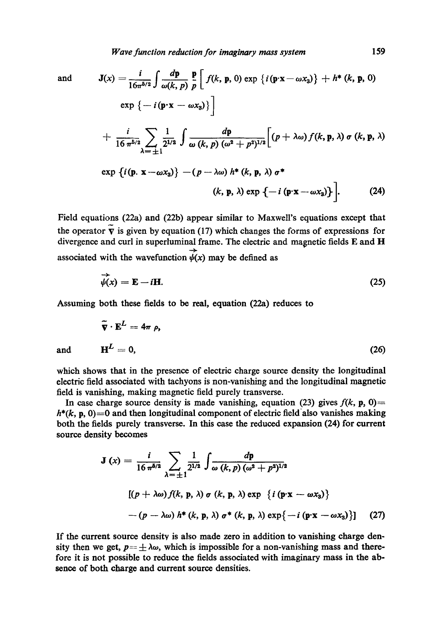and 
$$
\mathbf{J}(x) = \frac{1}{16\pi^{5/2}} \int \frac{d\mathbf{p}}{\omega(k, p)} \frac{\mathbf{p}}{p} \left[ f(k, \mathbf{p}, 0) \exp \{ i (\mathbf{p} \cdot \mathbf{x} - \omega x_3) \} + h^* (k, \mathbf{p}, 0) \right]
$$

$$
\exp \left\{ -i (\mathbf{p} \cdot \mathbf{x} - \omega x_3) \right\}
$$

$$
+ \frac{i}{16 \pi^{5/2}} \sum_{\lambda = \pm 1} \frac{1}{2^{1/2}} \int \frac{d\mathbf{p}}{\omega(k, p) (\omega^2 + p^2)^{1/2}} \left[ (p + \lambda \omega) f(k, \mathbf{p}, \lambda) \sigma(k, \mathbf{p}, \lambda) \right]
$$

$$
\exp \{ i (\mathbf{p} \cdot \mathbf{x} - \omega x_3) \} - (p - \lambda \omega) h^* (k, \mathbf{p}, \lambda) \sigma^*
$$

$$
(k, \mathbf{p}, \lambda) \exp \{-i (\mathbf{p} \cdot \mathbf{x} - \omega x_3) \} \Big].
$$
(24)

Field equations (22a) and (22b) appear similar to Maxwell's equations except that the operator  $\tilde{\mathbf{v}}$  is given by equation (17) which changes the forms of expressions for divergence and curl in superluminal frame. The electric and magnetic fields E and H associated with the wavefunction  $\overline{\psi}(x)$  may be defined as

$$
\vec{\psi}(x) = \mathbf{E} - i\mathbf{H}.\tag{25}
$$

Assuming both these fields to be real, equation (22a) reduces to

$$
\tilde{\nabla} \cdot \mathbf{E}^L = 4\pi \rho,
$$
  
and 
$$
\mathbf{H}^L = 0,
$$
 (26)

which shows that in the presence of electric charge source density the longitudinal electric field associated with tachyons is non-vanishing and the longitudinal magnetic field is vanishing, making magnetic field purely transverse.

In case charge source density is made vanishing, equation (23) gives  $f(k, p, 0)$ .  $h^*(k, p, 0) = 0$  and then longitudinal component of electric field also vanishes making both the fields purely transverse. In this case the reduced expansion (24) for current source density becomes

$$
\mathbf{J}(x) = \frac{i}{16 \pi^{5/2}} \sum_{\lambda = \pm 1} \frac{1}{2^{1/2}} \int \frac{dp}{\omega(k, p) (\omega^2 + p^2)^{1/2}}
$$
  
[(p + \lambda \omega) f(k, p, \lambda) \sigma (k, p, \lambda) \exp {i (p \cdot x - \omega x\_3)}  
-(p - \lambda \omega) h^\*(k, p, \lambda) \sigma^\*(k, p, \lambda) \exp{-i (p \cdot x - \omega x\_3)}] (27)

If the current source density is also made zero in addition to vanishing charge density then we get,  $p = \pm \lambda \omega$ , which is impossible for a non-vanishing mass and therefore it is not possible to reduce the fields associated with imaginary mass in the absence of both charge and current source densities.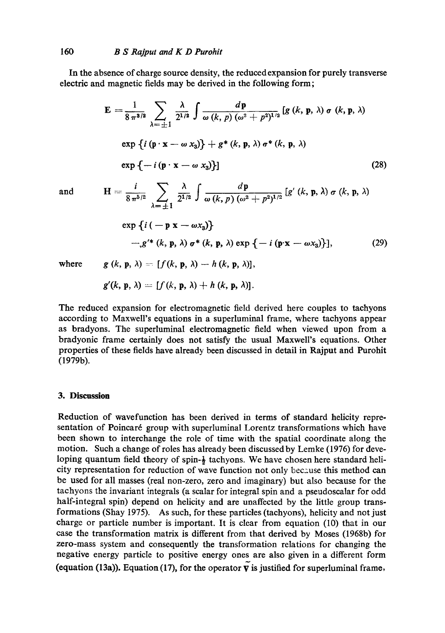In the absence of charge source density, the reduced expansion for purely transverse electric and magnetic fields may be derived in the following form;

$$
\mathbf{E} = \frac{1}{8 \pi^{3/2}} \sum_{\lambda = \pm 1} \frac{\lambda}{2^{1/2}} \int \frac{d\mathbf{p}}{\omega(k, p) (\omega^2 + p^2)^{1/2}} [g (k, \mathbf{p}, \lambda) \sigma (k, \mathbf{p}, \lambda)
$$
  
exp {*i* (p · x –  $\omega x_3$ )} + *g*<sup>\*</sup> (k, \mathbf{p}, \lambda)  $\sigma^*$  (k, \mathbf{p}, \lambda)  
exp {*-i* (p · x –  $\omega x_3$ )} (28)

*f dp* and H -- 8 ~/2 2 ~ to (k, p) (~o~ + p2)X/2 [g' (k, p, A) tr (k, p, A)

$$
\exp\left\{i\left(-\mathbf{p}\mathbf{x}-\omega x_{3}\right)\right\}
$$
  
-
$$
g'^{*}\left(k,\mathbf{p},\lambda\right)\sigma^{*}\left(k,\mathbf{p},\lambda\right)\exp\left\{-i\left(\mathbf{p}\cdot\mathbf{x}-\omega x_{3}\right)\right\},\tag{29}
$$

where 
$$
g(k, p, \lambda) = [f(k, p, \lambda) - h(k, p, \lambda)],
$$

$$
g'(k, p, \lambda) = [f(k, p, \lambda) + h(k, p, \lambda)].
$$

The reduced expansion for electromagnetic field derived here couples to taehyons according to MaxweU's equations in a superluminal frame, where tachyons appear as bradyons. The superluminal electromagnetic field when viewed upon from a bradyonic frame certainly does not satisfy the usual Maxwell's equations. Other properties of these fields have already been discussed in detail in Rajput and Purohit (1979b).

## **3. Discussion**

Reduction of wavefunction has been derived in terms of standard helicity representation of Poincaré group with superluminal Lorentz transformations which have been shown to interchange the role of time with the spatial coordinate along the motion. Such a change of roles has already been discussed by Lemke (1976) for developing quantum field theory of spin- $\frac{1}{2}$  tachyons. We have chosen here standard helicity representation for reduction of wave function not only because this method can be used for all masses (real non-zero, zero and imaginary) but also because for the tachyons the invariant integrals (a scalar for integral spin and a pseudoscalar for odd half-integral spin) depend on helicity and are unaffected by the little group transformations (Shay 1975). As such, for these particles (tachyons), helicity and not just charge or particle number is important. It is clear from equation (10) that in our case the transformation matrix is different from that derived by Moses (1968b) for zero-mass system and consequently the transformation relations for changing the negative energy particle to positive energy ones are also given in a different form (equation (13a)). Equation (17), for the operator  $\tilde{\mathbf{v}}$  is justified for superluminal frame,